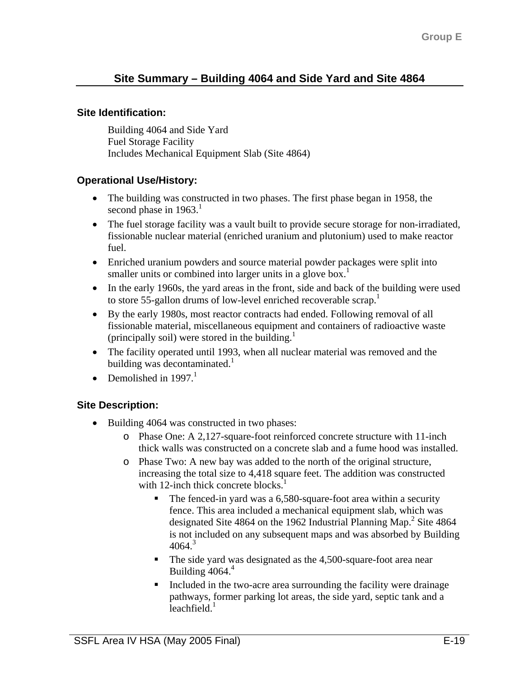# **Site Summary – Building 4064 and Side Yard and Site 4864**

#### **Site Identification:**

Building 4064 and Side Yard Fuel Storage Facility Includes Mechanical Equipment Slab (Site 4864)

## **Operational Use/History:**

- The building was constructed in two phases. The first phase began in 1958, the second phase in  $1963$ .<sup>1</sup>
- The fuel storage facility was a vault built to provide secure storage for non-irradiated, fissionable nuclear material (enriched uranium and plutonium) used to make reactor fuel.
- Enriched uranium powders and source material powder packages were split into smaller units or combined into larger units in a glove box.<sup>1</sup>
- In the early 1960s, the yard areas in the front, side and back of the building were used to store 55-gallon drums of low-level enriched recoverable scrap.<sup>1</sup>
- By the early 1980s, most reactor contracts had ended. Following removal of all fissionable material, miscellaneous equipment and containers of radioactive waste (principally soil) were stored in the building. $<sup>1</sup>$ </sup>
- The facility operated until 1993, when all nuclear material was removed and the building was decontaminated. $\frac{1}{1}$
- Demolished in  $1997<sup>1</sup>$

## **Site Description:**

- Building 4064 was constructed in two phases:
	- o Phase One: A 2,127-square-foot reinforced concrete structure with 11-inch thick walls was constructed on a concrete slab and a fume hood was installed.
	- o Phase Two: A new bay was added to the north of the original structure, increasing the total size to 4,418 square feet. The addition was constructed with 12-inch thick concrete blocks.<sup>1</sup>
		- The fenced-in yard was a 6,580-square-foot area within a security fence. This area included a mechanical equipment slab, which was designated Site 4864 on the 1962 Industrial Planning Map.<sup>2</sup> Site 4864 is not included on any subsequent maps and was absorbed by Building  $4064<sup>3</sup>$
		- The side yard was designated as the 4,500-square-foot area near Building  $4064<sup>4</sup>$
		- Included in the two-acre area surrounding the facility were drainage pathways, former parking lot areas, the side yard, septic tank and a leachfield. $<sup>1</sup>$ </sup>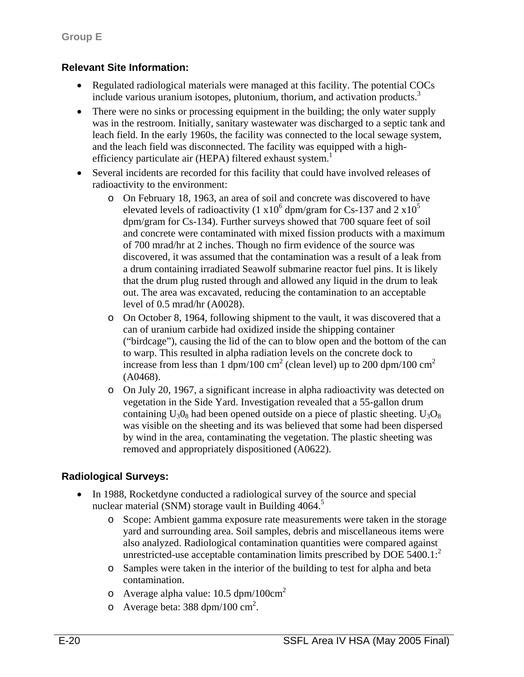## **Relevant Site Information:**

- Regulated radiological materials were managed at this facility. The potential COCs include various uranium isotopes, plutonium, thorium, and activation products.<sup>3</sup>
- There were no sinks or processing equipment in the building; the only water supply was in the restroom. Initially, sanitary wastewater was discharged to a septic tank and leach field. In the early 1960s, the facility was connected to the local sewage system, and the leach field was disconnected. The facility was equipped with a highefficiency particulate air (HEPA) filtered exhaust system.<sup>1</sup>
- Several incidents are recorded for this facility that could have involved releases of radioactivity to the environment:
	- o On February 18, 1963, an area of soil and concrete was discovered to have elevated levels of radioactivity (1  $x10^6$  dpm/gram for Cs-137 and 2  $x10^5$ dpm/gram for Cs-134). Further surveys showed that 700 square feet of soil and concrete were contaminated with mixed fission products with a maximum of 700 mrad/hr at 2 inches. Though no firm evidence of the source was discovered, it was assumed that the contamination was a result of a leak from a drum containing irradiated Seawolf submarine reactor fuel pins. It is likely that the drum plug rusted through and allowed any liquid in the drum to leak out. The area was excavated, reducing the contamination to an acceptable level of 0.5 mrad/hr (A0028).
	- o On October 8, 1964, following shipment to the vault, it was discovered that a can of uranium carbide had oxidized inside the shipping container ("birdcage"), causing the lid of the can to blow open and the bottom of the can to warp. This resulted in alpha radiation levels on the concrete dock to increase from less than 1 dpm/100 cm<sup>2</sup> (clean level) up to 200 dpm/100 cm<sup>2</sup> (A0468).
	- o On July 20, 1967, a significant increase in alpha radioactivity was detected on vegetation in the Side Yard. Investigation revealed that a 55-gallon drum containing  $U_3O_8$  had been opened outside on a piece of plastic sheeting.  $U_3O_8$ was visible on the sheeting and its was believed that some had been dispersed by wind in the area, contaminating the vegetation. The plastic sheeting was removed and appropriately dispositioned (A0622).

## **Radiological Surveys:**

- In 1988, Rocketdyne conducted a radiological survey of the source and special nuclear material (SNM) storage vault in Building  $4064$ <sup>5</sup>
	- o Scope: Ambient gamma exposure rate measurements were taken in the storage yard and surrounding area. Soil samples, debris and miscellaneous items were also analyzed. Radiological contamination quantities were compared against unrestricted-use acceptable contamination limits prescribed by DOE  $5400.1$ :
	- o Samples were taken in the interior of the building to test for alpha and beta contamination.
	- o Average alpha value:  $10.5 \text{ dpm}/100 \text{cm}^2$
	- o Average beta:  $388 \text{ dpm}/100 \text{ cm}^2$ .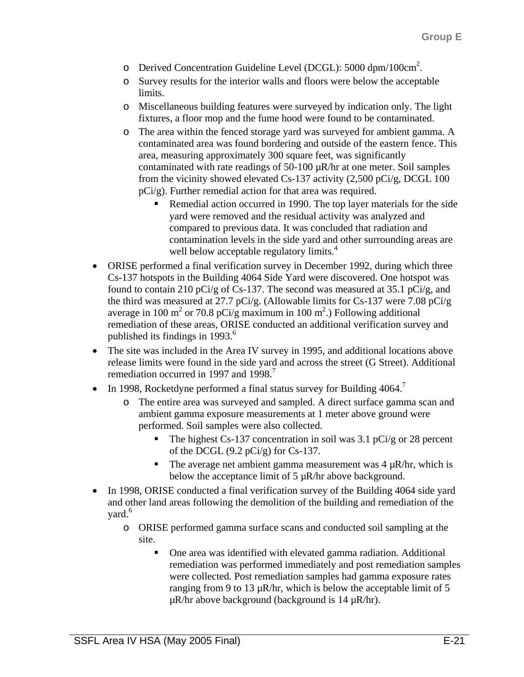- o Derived Concentration Guideline Level (DCGL): 5000 dpm/100cm<sup>2</sup>.
- o Survey results for the interior walls and floors were below the acceptable limits.
- o Miscellaneous building features were surveyed by indication only. The light fixtures, a floor mop and the fume hood were found to be contaminated.
- o The area within the fenced storage yard was surveyed for ambient gamma. A contaminated area was found bordering and outside of the eastern fence. This area, measuring approximately 300 square feet, was significantly contaminated with rate readings of 50-100 µR/hr at one meter. Soil samples from the vicinity showed elevated Cs-137 activity  $(2,500 \text{ pCi/g}, \text{DCGL } 100$ pCi/g). Further remedial action for that area was required.
	- Remedial action occurred in 1990. The top layer materials for the side yard were removed and the residual activity was analyzed and compared to previous data. It was concluded that radiation and contamination levels in the side yard and other surrounding areas are well below acceptable regulatory limits.<sup>4</sup>
- ORISE performed a final verification survey in December 1992, during which three Cs-137 hotspots in the Building 4064 Side Yard were discovered. One hotspot was found to contain 210 pCi/g of Cs-137. The second was measured at 35.1 pCi/g, and the third was measured at 27.7 pCi/g. (Allowable limits for Cs-137 were 7.08 pCi/g average in 100 m<sup>2</sup> or 70.8 pCi/g maximum in 100 m<sup>2</sup>.) Following additional remediation of these areas, ORISE conducted an additional verification survey and published its findings in 1993. $\degree$
- The site was included in the Area IV survey in 1995, and additional locations above release limits were found in the side yard and across the street (G Street). Additional remediation occurred in 1997 and 1998.<sup>7</sup>
- In 1998, Rocketdyne performed a final status survey for Building 4064.
	- o The entire area was surveyed and sampled. A direct surface gamma scan and ambient gamma exposure measurements at 1 meter above ground were performed. Soil samples were also collected.
		- The highest Cs-137 concentration in soil was 3.1 pCi/g or 28 percent of the DCGL  $(9.2 \text{ pCi/g})$  for Cs-137.
		- The average net ambient gamma measurement was  $4 \mu R/hr$ , which is below the acceptance limit of 5  $\mu$ R/hr above background.
- In 1998, ORISE conducted a final verification survey of the Building 4064 side yard and other land areas following the demolition of the building and remediation of the vard.<sup>6</sup>
	- o ORISE performed gamma surface scans and conducted soil sampling at the site.
		- One area was identified with elevated gamma radiation. Additional remediation was performed immediately and post remediation samples were collected. Post remediation samples had gamma exposure rates ranging from 9 to 13  $\mu$ R/hr, which is below the acceptable limit of 5  $\mu$ R/hr above background (background is 14  $\mu$ R/hr).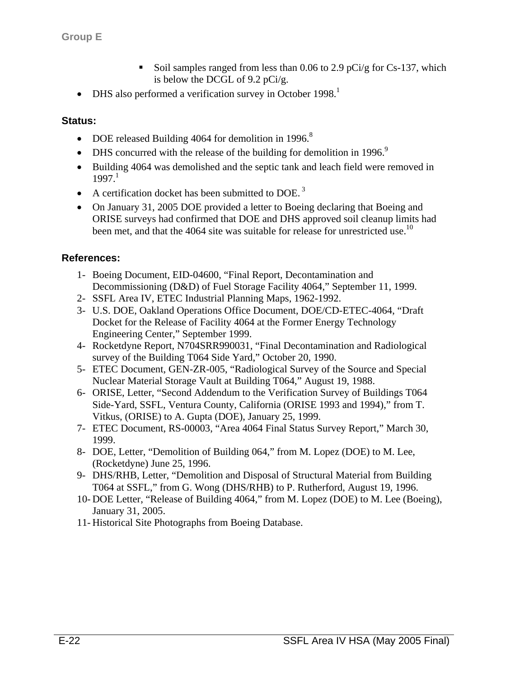- Soil samples ranged from less than 0.06 to 2.9 pCi/g for Cs-137, which is below the DCGL of 9.2 pCi/g.
- DHS also performed a verification survey in October 1998.<sup>1</sup>

#### **Status:**

- DOE released Building 4064 for demolition in 1996.<sup>8</sup>
- DHS concurred with the release of the building for demolition in 1996.<sup>9</sup>
- Building 4064 was demolished and the septic tank and leach field were removed in  $1997<sup>1</sup>$
- A certification docket has been submitted to DOE.<sup>3</sup>
- On January 31, 2005 DOE provided a letter to Boeing declaring that Boeing and ORISE surveys had confirmed that DOE and DHS approved soil cleanup limits had been met, and that the 4064 site was suitable for release for unrestricted use.<sup>10</sup>

#### **References:**

- 1- Boeing Document, EID-04600, "Final Report, Decontamination and Decommissioning (D&D) of Fuel Storage Facility 4064," September 11, 1999.
- 2- SSFL Area IV, ETEC Industrial Planning Maps, 1962-1992.
- 3- U.S. DOE, Oakland Operations Office Document, DOE/CD-ETEC-4064, "Draft Docket for the Release of Facility 4064 at the Former Energy Technology Engineering Center," September 1999.
- 4- Rocketdyne Report, N704SRR990031, "Final Decontamination and Radiological survey of the Building T064 Side Yard," October 20, 1990.
- 5- ETEC Document, GEN-ZR-005, "Radiological Survey of the Source and Special Nuclear Material Storage Vault at Building T064," August 19, 1988.
- 6- ORISE, Letter, "Second Addendum to the Verification Survey of Buildings T064 Side-Yard, SSFL, Ventura County, California (ORISE 1993 and 1994)," from T. Vitkus, (ORISE) to A. Gupta (DOE), January 25, 1999.
- 7- ETEC Document, RS-00003, "Area 4064 Final Status Survey Report," March 30, 1999.
- 8- DOE, Letter, "Demolition of Building 064," from M. Lopez (DOE) to M. Lee, (Rocketdyne) June 25, 1996.
- 9- DHS/RHB, Letter, "Demolition and Disposal of Structural Material from Building T064 at SSFL," from G. Wong (DHS/RHB) to P. Rutherford, August 19, 1996.
- 10- DOE Letter, "Release of Building 4064," from M. Lopez (DOE) to M. Lee (Boeing), January 31, 2005.
- 11- Historical Site Photographs from Boeing Database.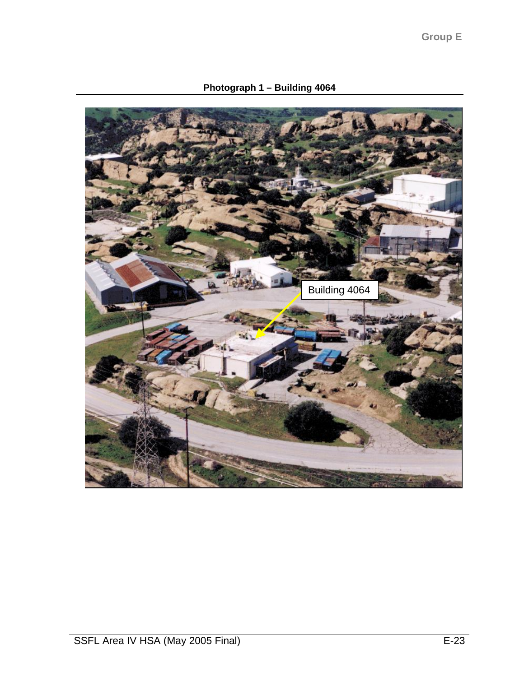**Photograph 1 – Building 4064** 

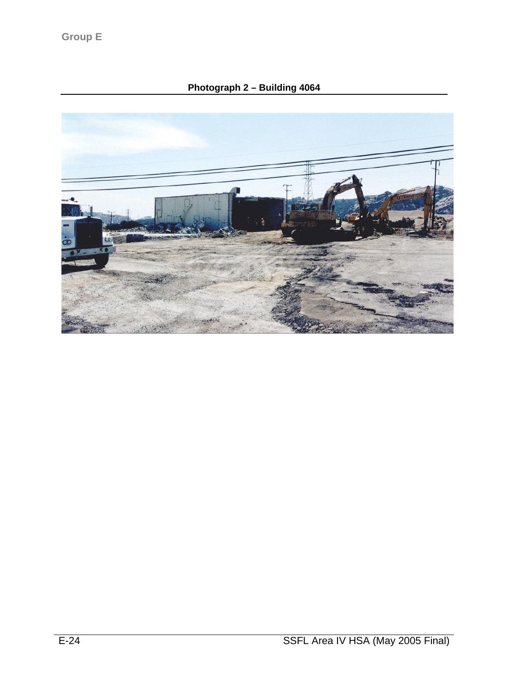# **Photograph 2 – Building 4064**